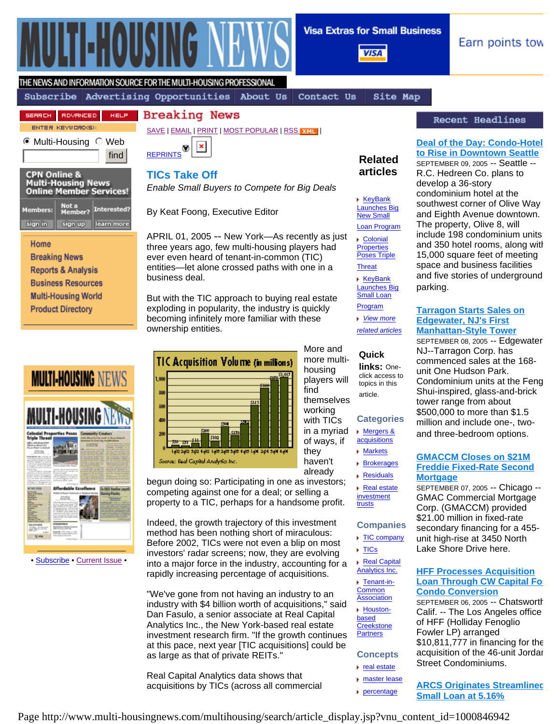

**Visa Extras for Small Business** 

**VISA** 

▶ KeyBank Launches Big **New Small** Loan Program Colonial **Properties** Poses Triple **Threat KeyBank** Launches Big Small Loan Program *View more related articles*

**Related articles**

Earn points tow

# THE NEWS AND INFORMATION SOURCE FOR THE MULTI-HOUSING PROFESSIONAL

## Subscribe Advertising Opportunities About Us

Contact Us

Site Map

#### HELP. **Breaking News**



SERRCH ROVANCED

 $\odot$  Multi-Housing  $\odot$  Web find



### **CPN Online & Multi-Housing News<br>Online Member Services!** Not a<br>Member? Interested? **Members:** sign in sign up learn more

## Home

**Breaking News Reports & Analysis Business Resources Multi-Housing World Product Directory** 

| MULTI-HOUSING NEWS                                 |                                                                             |                                                                                    |
|----------------------------------------------------|-----------------------------------------------------------------------------|------------------------------------------------------------------------------------|
|                                                    |                                                                             | <b>I-HOUSING NEWS</b>                                                              |
| an Mind da<br>$\sim$<br>-<br>÷<br>--               | artiac<br>------<br><b>THE R</b>                                            | <b>Tv Creators</b><br>sistem by stewar<br><b>B</b> Show May<br>$+ +$<br><b>ALL</b> |
| I<br>١<br>٠<br>14.92<br>ž<br>٠<br>Ī<br>ī<br>١<br>٠ | <b>B-21-40</b><br>۰<br>to a grammatic for angel<br>and the process of<br>ų. |                                                                                    |

• Subscribe • Current Issue •





# **TICs Take Off**

*Enable Small Buyers to Compete for Big Deals*

By Keat Foong, Executive Editor

APRIL 01, 2005 -- New York—As recently as just three years ago, few multi-housing players had ever even heard of tenant-in-common (TIC) entities—let alone crossed paths with one in a business deal.

But with the TIC approach to buying real estate exploding in popularity, the industry is quickly becoming infinitely more familiar with these ownership entities.



begun doing so: Participating in one as investors; competing against one for a deal; or selling a property to a TIC, perhaps for a handsome profit.

Indeed, the growth trajectory of this investment method has been nothing short of miraculous: Before 2002, TICs were not even a blip on most investors' radar screens; now, they are evolving into a major force in the industry, accounting for a rapidly increasing percentage of acquisitions.

"We've gone from not having an industry to an industry with \$4 billion worth of acquisitions," said Dan Fasulo, a senior associate at Real Capital Analytics Inc., the New York-based real estate investment research firm. "If the growth continues at this pace, next year [TIC acquisitions] could be as large as that of private REITs."

Real Capital Analytics data shows that acquisitions by TICs (across all commercial

# Recent Headlines

# **Deal of the Day: Condo-Hotel to Rise in Downtown Seattle**

SEPTEMBER 09, 2005 -- Seattle -- R.C. Hedreen Co. plans to develop a 36-story condominium hotel at the southwest corner of Olive Way and Eighth Avenue downtown. The property, Olive 8, will include 198 condominium units and 350 hotel rooms, along with 15,000 square feet of meeting space and business facilities and five stories of underground parking.

## **Tarragon Starts Sales on Edgewater, NJ's First Manhattan-Style Tower**

SEPTEMBER 08, 2005 -- Edgewater NJ--Tarragon Corp. has commenced sales at the 168 unit One Hudson Park. Condominium units at the Feng Shui-inspired, glass-and-brick tower range from about \$500,000 to more than \$1.5 million and include one-, twoand three-bedroom options.

## **GMACCM Closes on \$21M Freddie Fixed-Rate Second Mortgage**

SEPTEMBER 07, 2005 -- Chicago -- GMAC Commercial Mortgage Corp. (GMACCM) provided \$21.00 million in fixed-rate secondary financing for a 455 unit high-rise at 3450 North Lake Shore Drive here.

## **HFF Processes Acquisition Loan Through CW Capital For Condo Conversion**

SEPTEMBER 06, 2005 -- Chatsworth Calif. -- The Los Angeles office of HFF (Holliday Fenoglio Fowler LP) arranged \$10,811,777 in financing for the acquisition of the 46-unit Jordan Street Condominiums.

**ARCS Originates Streamlined Small Loan at 5.16%** 

Page http://www.multi-housingnews.com/multihousing/search/article\_display.jsp?vnu\_content\_id=1000846942

More and more multihousing players will find themselves working with TICs **Categories** ▶ Mergers & **Quick links:** Oneclick access to topics in this article.

in a myriad of ways, if they

haven't already

- **▶ Markets** Brokerages
	- **Residuals**
	- ▶ Real estate investment

acquisitions

trusts

# **Companies**

- ▶ TIC company **F** TICs
- Real Capital
- Analytics Inc. **► Tenant-in-**
- **Common Association**
- ▶ Houstonbased
- **Creekstone Partners**

# **Concepts**

- $\blacktriangleright$  real estate
- **master lease**
- percentage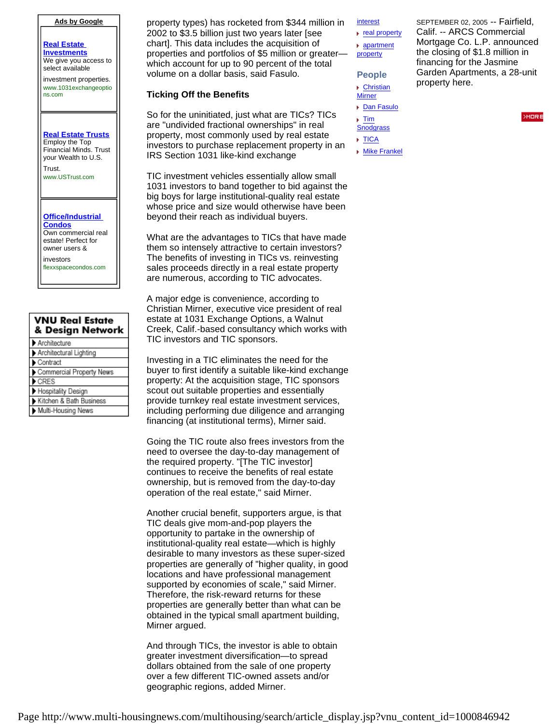### **Ads by Google**

**Real Estate Investments** We give you access to select available

investment properties. www.1031exchangeoptio ns.com

### **Real Estate Trusts** Employ the Top Financial Minds. Trust your Wealth to U.S.

Trust. www.USTrust.com

#### **Office/Industrial Condos** Own commercial real estate! Perfect for owner users &

investors flexxspacecondos.com

| <b>VNU Real Estate</b><br>& Design Network |  |  |
|--------------------------------------------|--|--|
| Architecture                               |  |  |
| Architectural Lighting                     |  |  |
| Contract                                   |  |  |
| Commercial Property News                   |  |  |
| CRES                                       |  |  |
| Hospitality Design                         |  |  |
| Kitchen & Bath Business                    |  |  |
| Multi-Housing News                         |  |  |

property types) has rocketed from \$344 million in 2002 to \$3.5 billion just two years later [see chart]. This data includes the acquisition of properties and portfolios of \$5 million or greater which account for up to 90 percent of the total volume on a dollar basis, said Fasulo.

### **Ticking Off the Benefits**

So for the uninitiated, just what are TICs? TICs are "undivided fractional ownerships" in real property, most commonly used by real estate investors to purchase replacement property in an IRS Section 1031 like-kind exchange

TIC investment vehicles essentially allow small 1031 investors to band together to bid against the big boys for large institutional-quality real estate whose price and size would otherwise have been beyond their reach as individual buyers.

What are the advantages to TICs that have made them so intensely attractive to certain investors? The benefits of investing in TICs vs. reinvesting sales proceeds directly in a real estate property are numerous, according to TIC advocates.

A major edge is convenience, according to Christian Mirner, executive vice president of real estate at 1031 Exchange Options, a Walnut Creek, Calif.-based consultancy which works with TIC investors and TIC sponsors.

Investing in a TIC eliminates the need for the buyer to first identify a suitable like-kind exchange property: At the acquisition stage, TIC sponsors scout out suitable properties and essentially provide turnkey real estate investment services, including performing due diligence and arranging financing (at institutional terms), Mirner said.

Going the TIC route also frees investors from the need to oversee the day-to-day management of the required property. "[The TIC investor] continues to receive the benefits of real estate ownership, but is removed from the day-to-day operation of the real estate," said Mirner.

Another crucial benefit, supporters argue, is that TIC deals give mom-and-pop players the opportunity to partake in the ownership of institutional-quality real estate—which is highly desirable to many investors as these super-sized properties are generally of "higher quality, in good locations and have professional management supported by economies of scale," said Mirner. Therefore, the risk-reward returns for these properties are generally better than what can be obtained in the typical small apartment building, Mirner argued.

And through TICs, the investor is able to obtain greater investment diversification—to spread dollars obtained from the sale of one property over a few different TIC-owned assets and/or geographic regions, added Mirner.

interest

- real property apartment
- property
- **People**
- Christian
- **Mirner** ▶ Dan Fasulo
- $\blacktriangleright$  Tim
- **Snodgrass**
- **F** TICA
- **Mike Frankel**

SEPTEMBER 02, 2005 -- Fairfield, Calif. -- ARCS Commercial Mortgage Co. L.P. announced the closing of \$1.8 million in financing for the Jasmine Garden Apartments, a 28-unit property here.

**SMORT**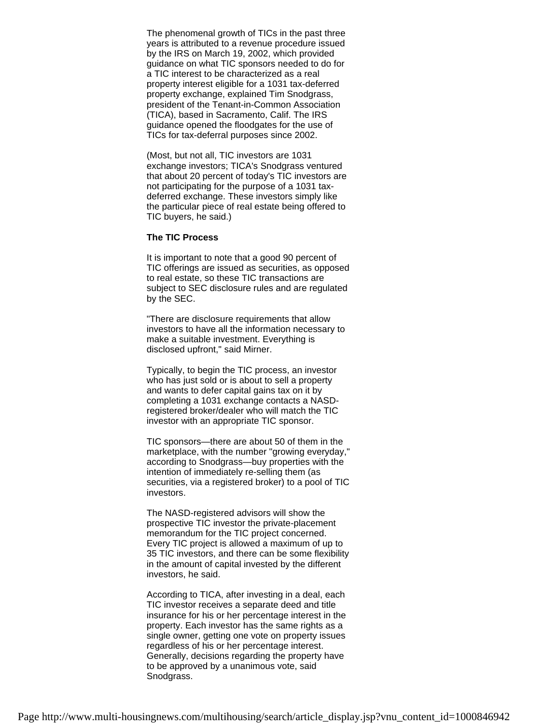The phenomenal growth of TICs in the past three years is attributed to a revenue procedure issued by the IRS on March 19, 2002, which provided guidance on what TIC sponsors needed to do for a TIC interest to be characterized as a real property interest eligible for a 1031 tax-deferred property exchange, explained Tim Snodgrass, president of the Tenant-in-Common Association (TICA), based in Sacramento, Calif. The IRS guidance opened the floodgates for the use of TICs for tax-deferral purposes since 2002.

(Most, but not all, TIC investors are 1031 exchange investors; TICA's Snodgrass ventured that about 20 percent of today's TIC investors are not participating for the purpose of a 1031 taxdeferred exchange. These investors simply like the particular piece of real estate being offered to TIC buyers, he said.)

### **The TIC Process**

It is important to note that a good 90 percent of TIC offerings are issued as securities, as opposed to real estate, so these TIC transactions are subject to SEC disclosure rules and are regulated by the SEC.

"There are disclosure requirements that allow investors to have all the information necessary to make a suitable investment. Everything is disclosed upfront," said Mirner.

Typically, to begin the TIC process, an investor who has just sold or is about to sell a property and wants to defer capital gains tax on it by completing a 1031 exchange contacts a NASDregistered broker/dealer who will match the TIC investor with an appropriate TIC sponsor.

TIC sponsors—there are about 50 of them in the marketplace, with the number "growing everyday," according to Snodgrass—buy properties with the intention of immediately re-selling them (as securities, via a registered broker) to a pool of TIC investors.

The NASD-registered advisors will show the prospective TIC investor the private-placement memorandum for the TIC project concerned. Every TIC project is allowed a maximum of up to 35 TIC investors, and there can be some flexibility in the amount of capital invested by the different investors, he said.

According to TICA, after investing in a deal, each TIC investor receives a separate deed and title insurance for his or her percentage interest in the property. Each investor has the same rights as a single owner, getting one vote on property issues regardless of his or her percentage interest. Generally, decisions regarding the property have to be approved by a unanimous vote, said Snodgrass.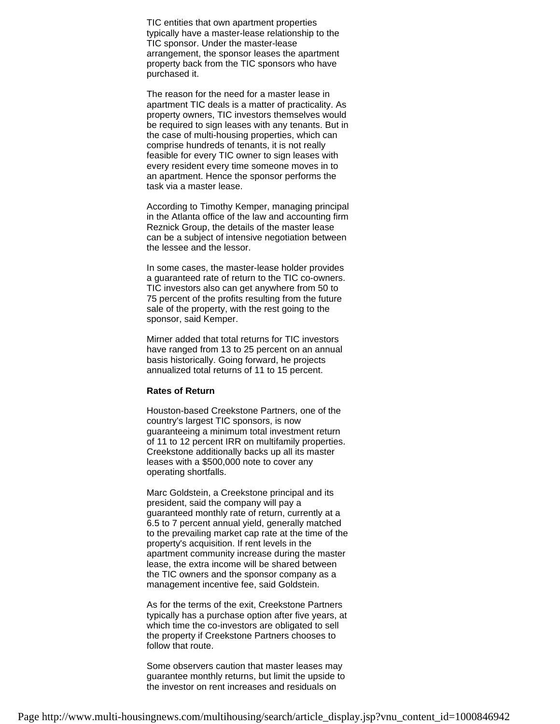TIC entities that own apartment properties typically have a master-lease relationship to the TIC sponsor. Under the master-lease arrangement, the sponsor leases the apartment property back from the TIC sponsors who have purchased it.

The reason for the need for a master lease in apartment TIC deals is a matter of practicality. As property owners, TIC investors themselves would be required to sign leases with any tenants. But in the case of multi-housing properties, which can comprise hundreds of tenants, it is not really feasible for every TIC owner to sign leases with every resident every time someone moves in to an apartment. Hence the sponsor performs the task via a master lease.

According to Timothy Kemper, managing principal in the Atlanta office of the law and accounting firm Reznick Group, the details of the master lease can be a subject of intensive negotiation between the lessee and the lessor.

In some cases, the master-lease holder provides a guaranteed rate of return to the TIC co-owners. TIC investors also can get anywhere from 50 to 75 percent of the profits resulting from the future sale of the property, with the rest going to the sponsor, said Kemper.

Mirner added that total returns for TIC investors have ranged from 13 to 25 percent on an annual basis historically. Going forward, he projects annualized total returns of 11 to 15 percent.

## **Rates of Return**

Houston-based Creekstone Partners, one of the country's largest TIC sponsors, is now guaranteeing a minimum total investment return of 11 to 12 percent IRR on multifamily properties. Creekstone additionally backs up all its master leases with a \$500,000 note to cover any operating shortfalls.

Marc Goldstein, a Creekstone principal and its president, said the company will pay a guaranteed monthly rate of return, currently at a 6.5 to 7 percent annual yield, generally matched to the prevailing market cap rate at the time of the property's acquisition. If rent levels in the apartment community increase during the master lease, the extra income will be shared between the TIC owners and the sponsor company as a management incentive fee, said Goldstein.

As for the terms of the exit, Creekstone Partners typically has a purchase option after five years, at which time the co-investors are obligated to sell the property if Creekstone Partners chooses to follow that route.

Some observers caution that master leases may guarantee monthly returns, but limit the upside to the investor on rent increases and residuals on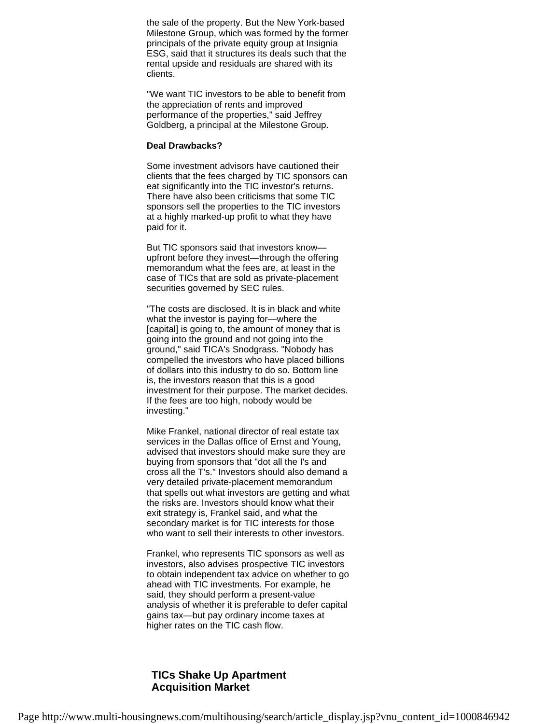the sale of the property. But the New York-based Milestone Group, which was formed by the former principals of the private equity group at Insignia ESG, said that it structures its deals such that the rental upside and residuals are shared with its clients.

"We want TIC investors to be able to benefit from the appreciation of rents and improved performance of the properties," said Jeffrey Goldberg, a principal at the Milestone Group.

## **Deal Drawbacks?**

Some investment advisors have cautioned their clients that the fees charged by TIC sponsors can eat significantly into the TIC investor's returns. There have also been criticisms that some TIC sponsors sell the properties to the TIC investors at a highly marked-up profit to what they have paid for it.

But TIC sponsors said that investors know upfront before they invest—through the offering memorandum what the fees are, at least in the case of TICs that are sold as private-placement securities governed by SEC rules.

"The costs are disclosed. It is in black and white what the investor is paying for—where the [capital] is going to, the amount of money that is going into the ground and not going into the ground," said TICA's Snodgrass. "Nobody has compelled the investors who have placed billions of dollars into this industry to do so. Bottom line is, the investors reason that this is a good investment for their purpose. The market decides. If the fees are too high, nobody would be investing."

Mike Frankel, national director of real estate tax services in the Dallas office of Ernst and Young, advised that investors should make sure they are buying from sponsors that "dot all the I's and cross all the T's." Investors should also demand a very detailed private-placement memorandum that spells out what investors are getting and what the risks are. Investors should know what their exit strategy is, Frankel said, and what the secondary market is for TIC interests for those who want to sell their interests to other investors.

Frankel, who represents TIC sponsors as well as investors, also advises prospective TIC investors to obtain independent tax advice on whether to go ahead with TIC investments. For example, he said, they should perform a present-value analysis of whether it is preferable to defer capital gains tax—but pay ordinary income taxes at higher rates on the TIC cash flow.

# **TICs Shake Up Apartment Acquisition Market**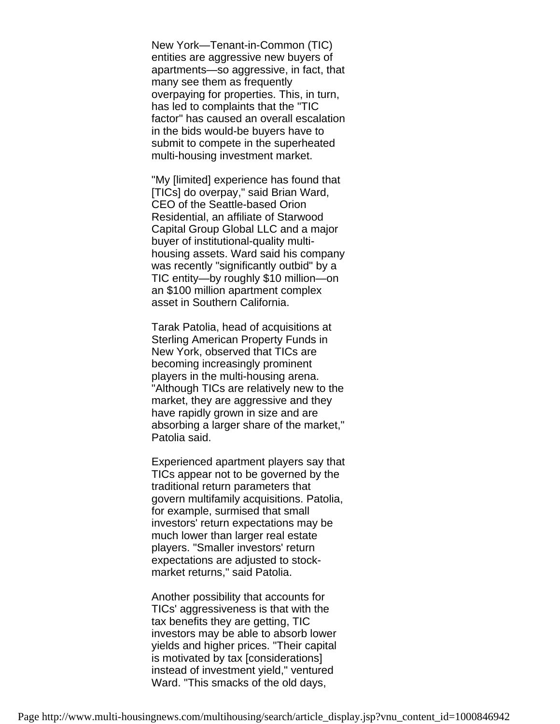New York—Tenant-in-Common (TIC) entities are aggressive new buyers of apartments—so aggressive, in fact, that many see them as frequently overpaying for properties. This, in turn, has led to complaints that the "TIC factor" has caused an overall escalation in the bids would-be buyers have to submit to compete in the superheated multi-housing investment market.

"My [limited] experience has found that [TICs] do overpay," said Brian Ward, CEO of the Seattle-based Orion Residential, an affiliate of Starwood Capital Group Global LLC and a major buyer of institutional-quality multihousing assets. Ward said his company was recently "significantly outbid" by a TIC entity—by roughly \$10 million—on an \$100 million apartment complex asset in Southern California.

Tarak Patolia, head of acquisitions at Sterling American Property Funds in New York, observed that TICs are becoming increasingly prominent players in the multi-housing arena. "Although TICs are relatively new to the market, they are aggressive and they have rapidly grown in size and are absorbing a larger share of the market," Patolia said.

Experienced apartment players say that TICs appear not to be governed by the traditional return parameters that govern multifamily acquisitions. Patolia, for example, surmised that small investors' return expectations may be much lower than larger real estate players. "Smaller investors' return expectations are adjusted to stockmarket returns," said Patolia.

Another possibility that accounts for TICs' aggressiveness is that with the tax benefits they are getting, TIC investors may be able to absorb lower yields and higher prices. "Their capital is motivated by tax [considerations] instead of investment yield," ventured Ward. "This smacks of the old days,